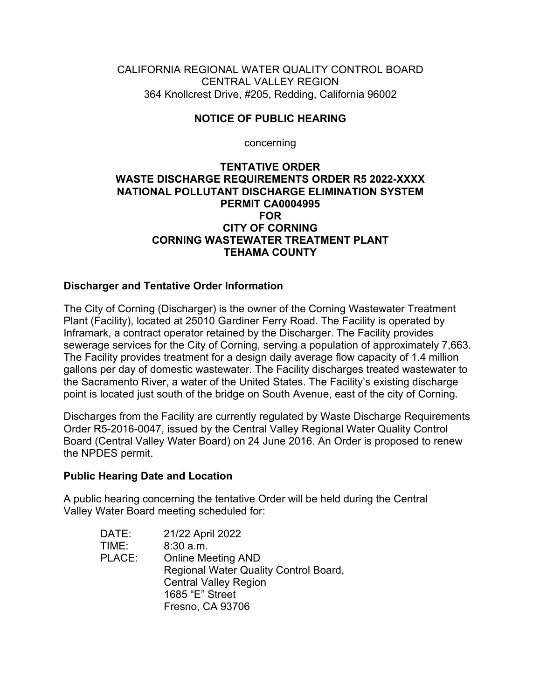CALIFORNIA REGIONAL WATER QUALITY CONTROL BOARD CENTRAL VALLEY REGION 364 Knollcrest Drive, #205, Redding, California 96002

## **NOTICE OF PUBLIC HEARING**

concerning

#### **TENTATIVE ORDER WASTE DISCHARGE REQUIREMENTS ORDER R5 2022-XXXX NATIONAL POLLUTANT DISCHARGE ELIMINATION SYSTEM PERMIT CA0004995 FOR CITY OF CORNING CORNING WASTEWATER TREATMENT PLANT TEHAMA COUNTY**

## **Discharger and Tentative Order Information**

The City of Corning (Discharger) is the owner of the Corning Wastewater Treatment Plant (Facility), located at 25010 Gardiner Ferry Road. The Facility is operated by Inframark, a contract operator retained by the Discharger. The Facility provides sewerage services for the City of Corning, serving a population of approximately 7,663. The Facility provides treatment for a design daily average flow capacity of 1.4 million gallons per day of domestic wastewater. The Facility discharges treated wastewater to the Sacramento River, a water of the United States. The Facility's existing discharge point is located just south of the bridge on South Avenue, east of the city of Corning.

Discharges from the Facility are currently regulated by Waste Discharge Requirements Order R5-2016-0047, issued by the Central Valley Regional Water Quality Control Board (Central Valley Water Board) on 24 June 2016. An Order is proposed to renew the NPDES permit.

#### **Public Hearing Date and Location**

A public hearing concerning the tentative Order will be held during the Central Valley Water Board meeting scheduled for:

| DATE:  | 21/22 April 2022                      |
|--------|---------------------------------------|
| TIME:  | $8:30$ a.m.                           |
| PLACE: | <b>Online Meeting AND</b>             |
|        | Regional Water Quality Control Board, |
|        | <b>Central Valley Region</b>          |
|        | 1685 "E" Street                       |
|        | Fresno, CA 93706                      |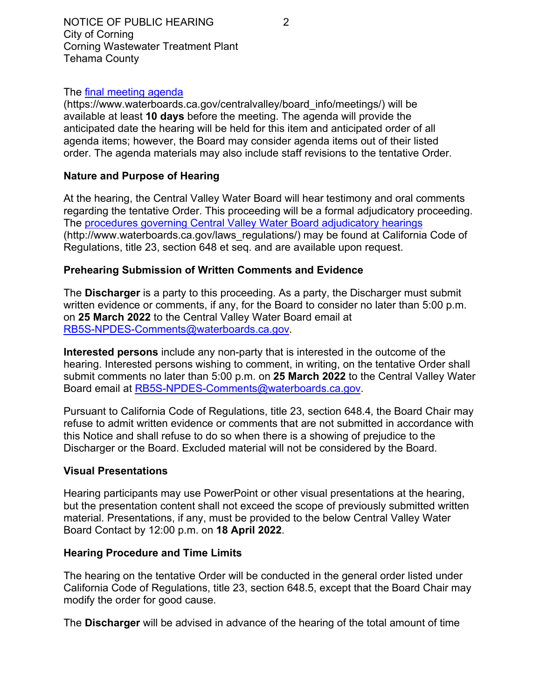## The [final meeting agenda](https://www.waterboards.ca.gov/centralvalley/board_info/meetings/)

(https://www.waterboards.ca.gov/centralvalley/board\_info/meetings/) will be available at least **10 days** before the meeting. The agenda will provide the anticipated date the hearing will be held for this item and anticipated order of all agenda items; however, the Board may consider agenda items out of their listed order. The agenda materials may also include staff revisions to the tentative Order.

# **Nature and Purpose of Hearing**

At the hearing, the Central Valley Water Board will hear testimony and oral comments regarding the tentative Order. This proceeding will be a formal adjudicatory proceeding. The [procedures governing Central Valley Water Board adjudicatory hearings](http://www.waterboards.ca.gov/laws_regulations/) (http://www.waterboards.ca.gov/laws\_regulations/) may be found at California Code of Regulations, title 23, section 648 et seq. and are available upon request.

# **Prehearing Submission of Written Comments and Evidence**

The **Discharger** is a party to this proceeding. As a party, the Discharger must submit written evidence or comments, if any, for the Board to consider no later than 5:00 p.m. on **25 March 2022** to the Central Valley Water Board email at [RB5S-NPDES-Comments@waterboards.ca.gov](mailto:RB5S-NPDES-Comments@waterboards.ca.gov).

**Interested persons** include any non-party that is interested in the outcome of the hearing. Interested persons wishing to comment, in writing, on the tentative Order shall submit comments no later than 5:00 p.m. on **25 March 2022** to the Central Valley Water Board email at [RB5S-NPDES-Comments@waterboards.ca.gov](mailto:RB5S-NPDES-Comments@waterboards.ca.gov).

Pursuant to California Code of Regulations, title 23, section 648.4, the Board Chair may refuse to admit written evidence or comments that are not submitted in accordance with this Notice and shall refuse to do so when there is a showing of prejudice to the Discharger or the Board. Excluded material will not be considered by the Board.

## **Visual Presentations**

Hearing participants may use PowerPoint or other visual presentations at the hearing, but the presentation content shall not exceed the scope of previously submitted written material. Presentations, if any, must be provided to the below Central Valley Water Board Contact by 12:00 p.m. on **18 April 2022**.

## **Hearing Procedure and Time Limits**

The hearing on the tentative Order will be conducted in the general order listed under California Code of Regulations, title 23, section 648.5, except that the Board Chair may modify the order for good cause.

The **Discharger** will be advised in advance of the hearing of the total amount of time